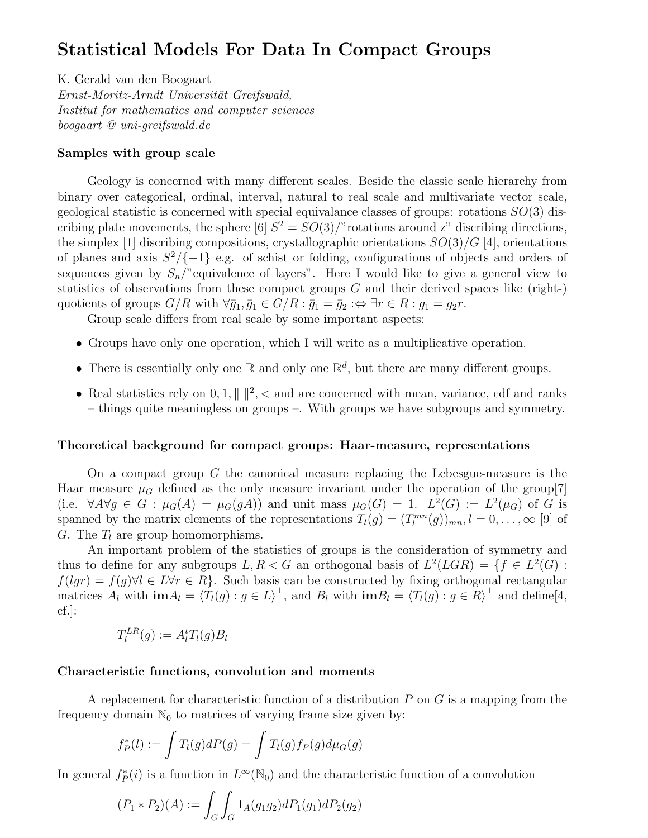# Statistical Models For Data In Compact Groups

K. Gerald van den Boogaart Ernst-Moritz-Arndt Universität Greifswald, Institut for mathematics and computer sciences boogaart @ uni-greifswald.de

## Samples with group scale

Geology is concerned with many different scales. Beside the classic scale hierarchy from binary over categorical, ordinal, interval, natural to real scale and multivariate vector scale, geological statistic is concerned with special equivalance classes of groups: rotations  $SO(3)$  discribing plate movements, the sphere [6]  $S^2 = SO(3)/\text{"rotations around z" describing directions}$ the simplex [1] discribing compositions, crystallographic orientations  $SO(3)/G$  [4], orientations of planes and axis  $S^2/\{-1\}$  e.g. of schist or folding, configurations of objects and orders of sequences given by  $S_n$ <sup>"</sup> equivalence of layers". Here I would like to give a general view to statistics of observations from these compact groups  $G$  and their derived spaces like (right-) quotients of groups  $G/R$  with  $\forall \bar{g}_1, \bar{g}_1 \in G/R : \bar{g}_1 = \bar{g}_2 : \Leftrightarrow \exists r \in R : g_1 = g_2r.$ 

Group scale differs from real scale by some important aspects:

- Groups have only one operation, which I will write as a multiplicative operation.
- There is essentially only one  $\mathbb{R}$  and only one  $\mathbb{R}^d$ , but there are many different groups.
- Real statistics rely on 0, 1,  $\| \|^2$ ,  $\lt$  and are concerned with mean, variance, cdf and ranks – things quite meaningless on groups –. With groups we have subgroups and symmetry.

### Theoretical background for compact groups: Haar-measure, representations

On a compact group G the canonical measure replacing the Lebesgue-measure is the Haar measure  $\mu_G$  defined as the only measure invariant under the operation of the group[7] (i.e.  $\forall A \forall g \in G : \mu_G(A) = \mu_G(gA)$ ) and unit mass  $\mu_G(G) = 1$ .  $L^2(G) := L^2(\mu_G)$  of G is spanned by the matrix elements of the representations  $T_l(g) = (T_l^{mn}(g))_{mn}, l = 0, \ldots, \infty$  [9] of G. The  $T_l$  are group homomorphisms.

An important problem of the statistics of groups is the consideration of symmetry and thus to define for any subgroups  $L, R \triangleleft G$  an orthogonal basis of  $L^2(LGR) = \{f \in L^2(G) :$  $f(lqr) = f(q) \forall l \in L \forall r \in R$ . Such basis can be constructed by fixing orthogonal rectangular matrices  $A_l$  with  $\mathbf{im} A_l = \langle T_l(g) : g \in L \rangle^{\perp}$ , and  $B_l$  with  $\mathbf{im} B_l = \langle T_l(g) : g \in R \rangle^{\perp}$  and define [4, cf.]:

$$
T_l^{LR}(g) := A_l^t T_l(g) B_l
$$

## Characteristic functions, convolution and moments

A replacement for characteristic function of a distribution  $P$  on  $G$  is a mapping from the frequency domain  $\mathbb{N}_0$  to matrices of varying frame size given by:

$$
f_P^*(l) := \int T_l(g)dP(g) = \int T_l(g)f_P(g)d\mu_G(g)
$$

In general  $f_P^*(i)$  is a function in  $L^{\infty}(\mathbb{N}_0)$  and the characteristic function of a convolution

$$
(P_1 * P_2)(A) := \int_G \int_G 1_A(g_1g_2) dP_1(g_1) dP_2(g_2)
$$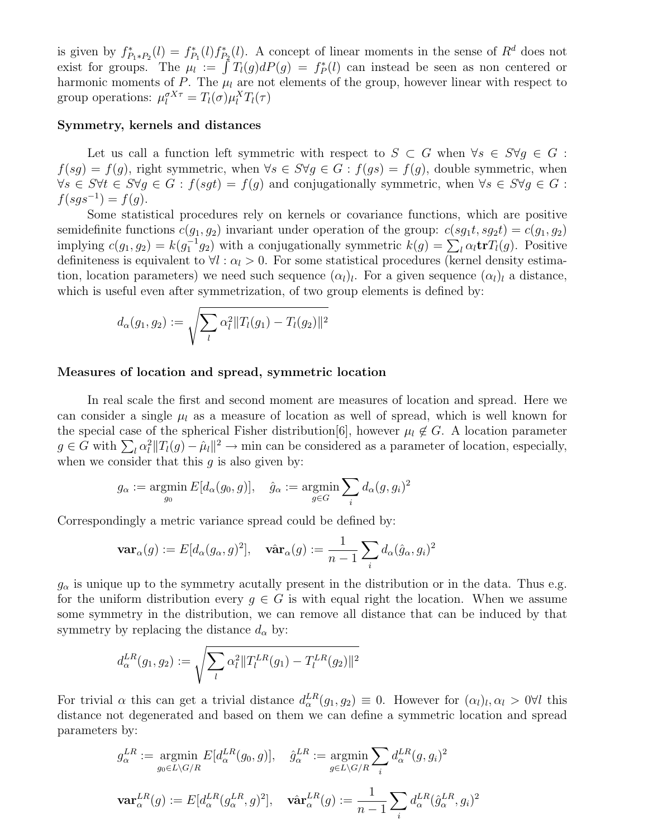is given by  $f_{P_1*P_2}^*(l) = f_{P_1}^*(l) f_{P_2}^*(l)$ . A concept of linear moments in the sense of  $R^d$  does not exist for groups. The  $\mu_l := \int T_l(g)dP(g) = f_P^*(l)$  can instead be seen as non centered or harmonic moments of P. The  $\mu_l$  are not elements of the group, however linear with respect to group operations:  $\mu_l^{\sigma X \tau} = T_l(\sigma) \mu_l^X T_l(\tau)$ 

## Symmetry, kernels and distances

Let us call a function left symmetric with respect to  $S \subset G$  when  $\forall s \in S \forall q \in G$ :  $f(sg) = f(g)$ , right symmetric, when  $\forall s \in S \forall g \in G : f(gs) = f(g)$ , double symmetric, when  $\forall s \in S \forall t \in S \forall g \in G : f(sgt) = f(g)$  and conjugationally symmetric, when  $\forall s \in S \forall g \in G$ :  $f(sgs^{-1}) = f(g).$ 

Some statistical procedures rely on kernels or covariance functions, which are positive semidefinite functions  $c(q_1, q_2)$  invariant under operation of the group:  $c(sq_1t, sg_2t) = c(q_1, g_2)$ implying  $c(g_1, g_2) = k(g_1^{-1}g_2)$  with a conjugationally symmetric  $k(g) = \sum_l \alpha_l \mathbf{tr} T_l(g)$ . Positive definiteness is equivalent to  $\forall l : \alpha_l > 0$ . For some statistical procedures (kernel density estimation, location parameters) we need such sequence  $(\alpha_l)_l$ . For a given sequence  $(\alpha_l)_l$  a distance, which is useful even after symmetrization, of two group elements is defined by:

$$
d_{\alpha}(g_1, g_2) := \sqrt{\sum_{l} \alpha_l^2 ||T_l(g_1) - T_l(g_2)||^2}
$$

## Measures of location and spread, symmetric location

In real scale the first and second moment are measures of location and spread. Here we can consider a single  $\mu_l$  as a measure of location as well of spread, which is well known for the special case of the spherical Fisher distribution[6], however  $\mu_l \notin G$ . A location parameter  $g \in G$  with  $\sum_l \alpha_l^2 ||T_l(g) - \hat{\mu}_l||^2 \to \text{min}$  can be considered as a parameter of location, especially, when we consider that this  $q$  is also given by:

$$
g_{\alpha} := \underset{g_0}{\text{argmin}} E[d_{\alpha}(g_0, g)], \quad \hat{g}_{\alpha} := \underset{g \in G}{\text{argmin}} \sum_i d_{\alpha}(g, g_i)^2
$$

Correspondingly a metric variance spread could be defined by:

$$
\mathbf{var}_{\alpha}(g) := E[d_{\alpha}(g_{\alpha}, g)^{2}], \quad \mathbf{var}_{\alpha}(g) := \frac{1}{n-1} \sum_{i} d_{\alpha}(\hat{g}_{\alpha}, g_{i})^{2}
$$

 $g_{\alpha}$  is unique up to the symmetry acutally present in the distribution or in the data. Thus e.g. for the uniform distribution every  $g \in G$  is with equal right the location. When we assume some symmetry in the distribution, we can remove all distance that can be induced by that symmetry by replacing the distance  $d_{\alpha}$  by:

$$
d_{\alpha}^{LR}(g_1, g_2) := \sqrt{\sum_{l} \alpha_l^2 ||T_l^{LR}(g_1) - T_l^{LR}(g_2)||^2}
$$

For trivial  $\alpha$  this can get a trivial distance  $d_{\alpha}^{LR}(g_1, g_2) \equiv 0$ . However for  $(\alpha_l)_l, \alpha_l > 0 \forall l$  this distance not degenerated and based on them we can define a symmetric location and spread parameters by:

$$
g_{\alpha}^{LR} := \underset{g_0 \in L \backslash G/R}{\text{argmin}} E[d_{\alpha}^{LR}(g_0, g)], \quad \hat{g}_{\alpha}^{LR} := \underset{g \in L \backslash G/R}{\text{argmin}} \sum_{i} d_{\alpha}^{LR}(g, g_i)^2
$$

$$
\mathbf{var}_{\alpha}^{LR}(g) := E[d_{\alpha}^{LR}(g_{\alpha}^{LR}, g)^2], \quad \mathbf{var}_{\alpha}^{LR}(g) := \frac{1}{n-1} \sum_{i} d_{\alpha}^{LR}(\hat{g}_{\alpha}^{LR}, g_i)^2
$$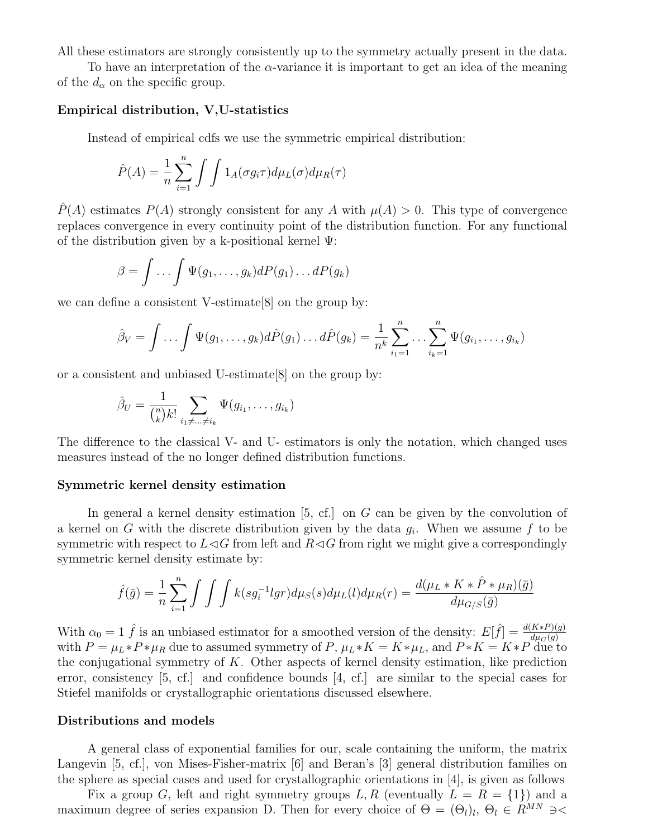All these estimators are strongly consistently up to the symmetry actually present in the data.

To have an interpretation of the  $\alpha$ -variance it is important to get an idea of the meaning of the  $d_{\alpha}$  on the specific group.

## Empirical distribution, V,U-statistics

Instead of empirical cdfs we use the symmetric empirical distribution:

$$
\hat{P}(A) = \frac{1}{n} \sum_{i=1}^{n} \int \int 1_A(\sigma g_i \tau) d\mu_L(\sigma) d\mu_R(\tau)
$$

 $\hat{P}(A)$  estimates  $P(A)$  strongly consistent for any A with  $\mu(A) > 0$ . This type of convergence replaces convergence in every continuity point of the distribution function. For any functional of the distribution given by a k-positional kernel  $\Psi$ :

$$
\beta = \int \dots \int \Psi(g_1, \dots, g_k) dP(g_1) \dots dP(g_k)
$$

we can define a consistent V-estimate[8] on the group by:

$$
\hat{\beta}_V = \int \ldots \int \Psi(g_1, \ldots, g_k) d\hat{P}(g_1) \ldots d\hat{P}(g_k) = \frac{1}{n^k} \sum_{i_1=1}^n \ldots \sum_{i_k=1}^n \Psi(g_{i_1}, \ldots, g_{i_k})
$$

or a consistent and unbiased U-estimate[8] on the group by:

$$
\hat{\beta}_U = \frac{1}{\binom{n}{k}k!} \sum_{i_1 \neq \ldots \neq i_k} \Psi(g_{i_1}, \ldots, g_{i_k})
$$

The difference to the classical V- and U- estimators is only the notation, which changed uses measures instead of the no longer defined distribution functions.

#### Symmetric kernel density estimation

In general a kernel density estimation  $[5, cf.]$  on G can be given by the convolution of a kernel on G with the discrete distribution given by the data  $g_i$ . When we assume f to be symmetric with respect to  $L\triangleleft G$  from left and  $R\triangleleft G$  from right we might give a correspondingly symmetric kernel density estimate by:

$$
\hat{f}(\bar{g}) = \frac{1}{n} \sum_{i=1}^{n} \int \int \int k(sg_i^{-1}lgr) d\mu_S(s) d\mu_L(l) d\mu_R(r) = \frac{d(\mu_L * K * \hat{P} * \mu_R)(\bar{g})}{d\mu_{G/S}(\bar{g})}
$$

With  $\alpha_0 = 1$   $\hat{f}$  is an unbiased estimator for a smoothed version of the density:  $E[\hat{f}] = \frac{d(K*P)(g)}{d\mu_G(g)}$ with  $P = \mu_L * P * \mu_R$  due to assumed symmetry of P,  $\mu_L * K = K * \mu_L$ , and  $P * K = K * P$  due to the conjugational symmetry of  $K$ . Other aspects of kernel density estimation, like prediction error, consistency [5, cf.] and confidence bounds [4, cf.] are similar to the special cases for Stiefel manifolds or crystallographic orientations discussed elsewhere.

### Distributions and models

A general class of exponential families for our, scale containing the uniform, the matrix Langevin [5, cf.], von Mises-Fisher-matrix [6] and Beran's [3] general distribution families on the sphere as special cases and used for crystallographic orientations in [4], is given as follows

Fix a group G, left and right symmetry groups L, R (eventually  $L = R = \{1\}$ ) and a maximum degree of series expansion D. Then for every choice of  $\Theta = (\Theta_l)_l, \Theta_l \in R^{MN} \ni <$